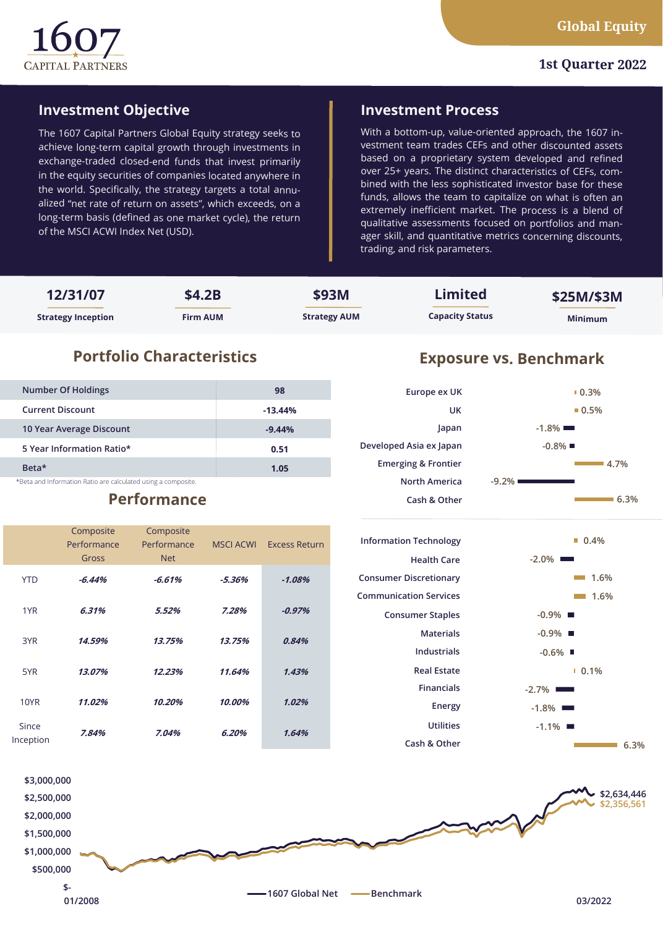

#### **1st Quarter 2022**

## **Investment Objective**

The 1607 Capital Partners Global Equity strategy seeks to achieve long-term capital growth through investments in exchange-traded closed-end funds that invest primarily in the equity securities of companies located anywhere in the world. Specifically, the strategy targets a total annualized "net rate of return on assets", which exceeds, on a long-term basis (defined as one market cycle), the return of the MSCI ACWI Index Net (USD).

### **Investment Process**

With a bottom-up, value-oriented approach, the 1607 investment team trades CEFs and other discounted assets based on a proprietary system developed and refined over 25+ years. The distinct characteristics of CEFs, combined with the less sophisticated investor base for these funds, allows the team to capitalize on what is often an extremely inefficient market. The process is a blend of qualitative assessments focused on portfolios and manager skill, and quantitative metrics concerning discounts, trading, and risk parameters.

| 12/31/07                  | \$4.2B          | \$93M               | Limited                | \$25M/\$3M     |
|---------------------------|-----------------|---------------------|------------------------|----------------|
| <b>Strategy Inception</b> | <b>Firm AUM</b> | <b>Strategy AUM</b> | <b>Capacity Status</b> | <b>Minimum</b> |

# **Portfolio Characteristics Exposure vs. Benchmark**

| <b>Number Of Holdings</b>                                     | 98        |
|---------------------------------------------------------------|-----------|
| <b>Current Discount</b>                                       | $-13.44%$ |
| 10 Year Average Discount                                      | $-9.44%$  |
| 5 Year Information Ratio*                                     | 0.51      |
| Beta <sup>*</sup>                                             | 1.05      |
| *Beta and Information Ratio are calculated using a composite. |           |

# **Performance**

|                    | Composite<br>Performance<br>Gross | Composite<br>Performance<br><b>Net</b> | <b>MSCI ACWI</b> | <b>Excess Return</b> |
|--------------------|-----------------------------------|----------------------------------------|------------------|----------------------|
| <b>YTD</b>         | $-6.44%$                          | $-6.61%$                               | $-5.36%$         | $-1.08%$             |
| 1YR                | 6.31%                             | 5.52%                                  | 7.28%            | $-0.97%$             |
| 3YR                | 14.59%                            | 13.75%                                 | 13.75%           | 0.84%                |
| 5YR                | 13.07%                            | 12.23%                                 | 11.64%           | 1.43%                |
| <b>10YR</b>        | 11.02%                            | 10.20%                                 | 10.00%           | 1.02%                |
| Since<br>Inception | 7.84%                             | 7.04%                                  | 6.20%            | 1.64%                |



| <b>Information Technology</b> |
|-------------------------------|
| <b>Health Care</b>            |
| <b>Consumer Discretionary</b> |
| Communication Services        |
| <b>Consumer Staples</b>       |
| Materials                     |
| Industrials                   |
| Real Estate                   |
| Financials                    |
| Energy                        |
| Utilities                     |
| Cash & Other                  |



**6.3%**

**4.7%**

**0.5% 0.3%**